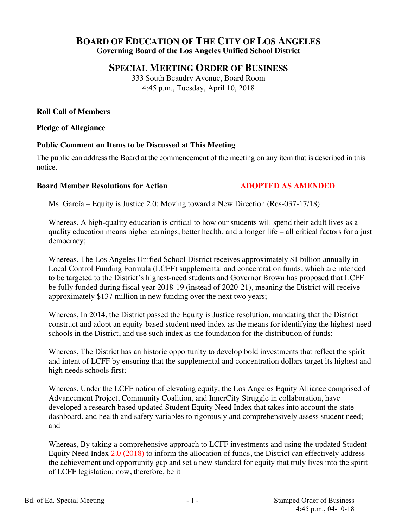# **BOARD OF EDUCATION OF THE CITY OF LOS ANGELES Governing Board of the Los Angeles Unified School District**

# **SPECIAL MEETING ORDER OF BUSINESS**

333 South Beaudry Avenue, Board Room 4:45 p.m., Tuesday, April 10, 2018

## **Roll Call of Members**

**Pledge of Allegiance**

### **Public Comment on Items to be Discussed at This Meeting**

The public can address the Board at the commencement of the meeting on any item that is described in this notice.

#### **Board Member Resolutions for Action ADOPTED AS AMENDED**

Ms. García – Equity is Justice 2.0: Moving toward a New Direction (Res-037-17/18)

Whereas, A high-quality education is critical to how our students will spend their adult lives as a quality education means higher earnings, better health, and a longer life – all critical factors for a just democracy;

Whereas, The Los Angeles Unified School District receives approximately \$1 billion annually in Local Control Funding Formula (LCFF) supplemental and concentration funds, which are intended to be targeted to the District's highest-need students and Governor Brown has proposed that LCFF be fully funded during fiscal year 2018-19 (instead of 2020-21), meaning the District will receive approximately \$137 million in new funding over the next two years;

Whereas, In 2014, the District passed the Equity is Justice resolution, mandating that the District construct and adopt an equity-based student need index as the means for identifying the highest-need schools in the District, and use such index as the foundation for the distribution of funds;

Whereas, The District has an historic opportunity to develop bold investments that reflect the spirit and intent of LCFF by ensuring that the supplemental and concentration dollars target its highest and high needs schools first;

Whereas, Under the LCFF notion of elevating equity, the Los Angeles Equity Alliance comprised of Advancement Project, Community Coalition, and InnerCity Struggle in collaboration, have developed a research based updated Student Equity Need Index that takes into account the state dashboard, and health and safety variables to rigorously and comprehensively assess student need; and

Whereas, By taking a comprehensive approach to LCFF investments and using the updated Student Equity Need Index  $2.0$  (2018) to inform the allocation of funds, the District can effectively address the achievement and opportunity gap and set a new standard for equity that truly lives into the spirit of LCFF legislation; now, therefore, be it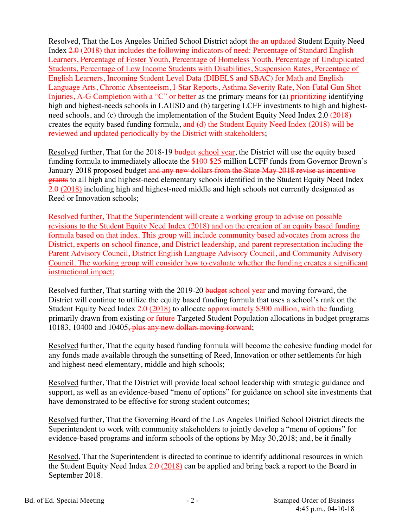Resolved, That the Los Angeles Unified School District adopt the an updated Student Equity Need Index 2.0 (2018) that includes the following indicators of need: Percentage of Standard English Learners, Percentage of Foster Youth, Percentage of Homeless Youth, Percentage of Unduplicated Students, Percentage of Low Income Students with Disabilities, Suspension Rates, Percentage of English Learners, Incoming Student Level Data (DIBELS and SBAC) for Math and English Language Arts, Chronic Absenteeism, I-Star Reports, Asthma Severity Rate, Non-Fatal Gun Shot Injuries, A-G Completion with a "C" or better as the primary means for (a) prioritizing identifying high and highest-needs schools in LAUSD and (b) targeting LCFF investments to high and highestneed schools, and (c) through the implementation of the Student Equity Need Index 2.0 (2018) creates the equity based funding formula, and (d) the Student Equity Need Index (2018) will be reviewed and updated periodically by the District with stakeholders;

Resolved further, That for the 2018-19 budget school year, the District will use the equity based funding formula to immediately allocate the \$100 \$25 million LCFF funds from Governor Brown's January 2018 proposed budget and any new dollars from the State May 2018 revise as incentive grants to all high and highest-need elementary schools identified in the Student Equity Need Index 2.0 (2018) including high and highest-need middle and high schools not currently designated as Reed or Innovation schools;

Resolved further, That the Superintendent will create a working group to advise on possible revisions to the Student Equity Need Index (2018) and on the creation of an equity based funding formula based on that index. This group will include community based advocates from across the District, experts on school finance, and District leadership, and parent representation including the Parent Advisory Council, District English Language Advisory Council, and Community Advisory Council. The working group will consider how to evaluate whether the funding creates a significant instructional impact;

Resolved further, That starting with the 2019-20 budget school year and moving forward, the District will continue to utilize the equity based funding formula that uses a school's rank on the Student Equity Need Index 2.0 (2018) to allocate approximately \$300 million, with the funding primarily drawn from existing or future Targeted Student Population allocations in budget programs 10183, 10400 and 10405, plus any new dollars moving forward;

Resolved further, That the equity based funding formula will become the cohesive funding model for any funds made available through the sunsetting of Reed, Innovation or other settlements for high and highest-need elementary, middle and high schools;

Resolved further, That the District will provide local school leadership with strategic guidance and support, as well as an evidence-based "menu of options" for guidance on school site investments that have demonstrated to be effective for strong student outcomes;

Resolved further, That the Governing Board of the Los Angeles Unified School District directs the Superintendent to work with community stakeholders to jointly develop a "menu of options" for evidence-based programs and inform schools of the options by May 30, 2018; and, be it finally

Resolved, That the Superintendent is directed to continue to identify additional resources in which the Student Equity Need Index  $2.0$  (2018) can be applied and bring back a report to the Board in September 2018.